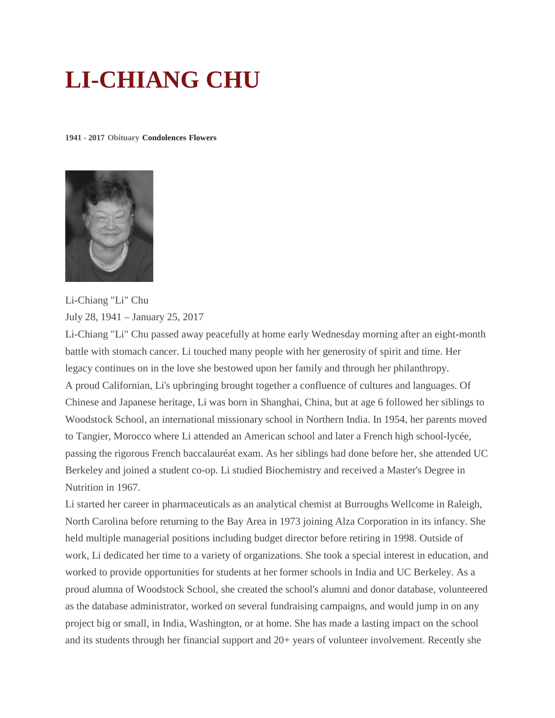## **LI-CHIANG CHU**

**1941 - 2017 Obituary [Condolences](http://www.legacy.com/guestbooks/sfgate/li-chiang-chu-condolences/183744242?cid=full) [Flowers](javascript:void(0))**



Li-Chiang "Li" Chu July 28, 1941 – January 25, 2017

Li-Chiang "Li" Chu passed away peacefully at home early Wednesday morning after an eight-month battle with stomach cancer. Li touched many people with her generosity of spirit and time. Her legacy continues on in the love she bestowed upon her family and through her philanthropy. A proud Californian, Li's upbringing brought together a confluence of cultures and languages. Of Chinese and Japanese heritage, Li was born in Shanghai, China, but at age 6 followed her siblings to Woodstock School, an international missionary school in Northern India. In 1954, her parents moved to Tangier, Morocco where Li attended an American school and later a French high school-lycée, passing the rigorous French baccalauréat exam. As her siblings had done before her, she attended UC Berkeley and joined a student co-op. Li studied Biochemistry and received a Master's Degree in Nutrition in 1967.

Li started her career in pharmaceuticals as an analytical chemist at Burroughs Wellcome in Raleigh, North Carolina before returning to the Bay Area in 1973 joining Alza Corporation in its infancy. She held multiple managerial positions including budget director before retiring in 1998. Outside of work, Li dedicated her time to a variety of organizations. She took a special interest in education, and worked to provide opportunities for students at her former schools in India and UC Berkeley. As a proud alumna of Woodstock School, she created the school's alumni and donor database, volunteered as the database administrator, worked on several fundraising campaigns, and would jump in on any project big or small, in India, Washington, or at home. She has made a lasting impact on the school and its students through her financial support and 20+ years of volunteer involvement. Recently she